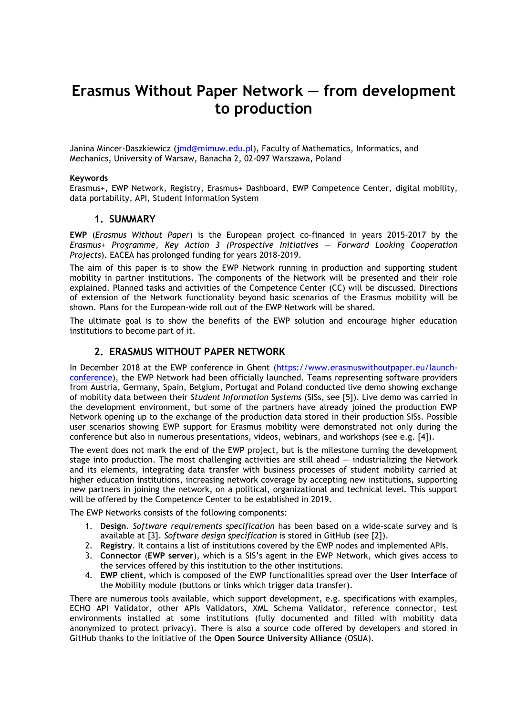# **Erasmus Without Paper Network — from development to production**

Janina Mincer-Daszkiewicz [\(jmd@mimuw.edu.pl\)](mailto:jmd@mimuw.edu.pl), Faculty of Mathematics, Informatics, and Mechanics, University of Warsaw, Banacha 2, 02-097 Warszawa, Poland

#### **Keywords**

Erasmus+, EWP Network, Registry, Erasmus+ Dashboard, EWP Competence Center, digital mobility, data portability, API, Student Information System

### **1. SUMMARY**

**EWP** (*Erasmus Without Paper*) is the European project co-financed in years 2015-2017 by the *Erasmus+ Programme, Key Action 3 (Prospective Initiatives — Forward Looking Cooperation Projects*). EACEA has prolonged funding for years 2018-2019.

The aim of this paper is to show the EWP Network running in production and supporting student mobility in partner institutions. The components of the Network will be presented and their role explained. Planned tasks and activities of the Competence Center (CC) will be discussed. Directions of extension of the Network functionality beyond basic scenarios of the Erasmus mobility will be shown. Plans for the European-wide roll out of the EWP Network will be shared.

The ultimate goal is to show the benefits of the EWP solution and encourage higher education institutions to become part of it.

#### **2. ERASMUS WITHOUT PAPER NETWORK**

In December 2018 at the EWP conference in Ghent [\(https://www.erasmuswithoutpaper.eu/launch](https://www.erasmuswithoutpaper.eu/launch-conference)[conference\)](https://www.erasmuswithoutpaper.eu/launch-conference), the EWP Network had been officially launched. Teams representing software providers from Austria, Germany, Spain, Belgium, Portugal and Poland conducted live demo showing exchange of mobility data between their *Student Information Systems* (SISs, see [\[5\]\)](#page-1-0). Live demo was carried in the development environment, but some of the partners have already joined the production EWP Network opening up to the exchange of the production data stored in their production SISs. Possible user scenarios showing EWP support for Erasmus mobility were demonstrated not only during the conference but also in numerous presentations, videos, webinars, and workshops (see e.g. [\[4\]\)](#page-1-1).

The event does not mark the end of the EWP project, but is the milestone turning the development stage into production. The most challenging activities are still ahead — industrializing the Network and its elements, integrating data transfer with business processes of student mobility carried at higher education institutions, increasing network coverage by accepting new institutions, supporting new partners in joining the network, on a political, organizational and technical level. This support will be offered by the Competence Center to be established in 2019.

The EWP Networks consists of the following components:

- 1. **Design**. *Software requirements specification* has been based on a wide-scale survey and is available at [\[3\].](#page-1-2) *Software design specification* is stored in GitHub (see [\[2\]\)](#page-1-3).
- 2. **Registry**. It contains a list of institutions covered by the EWP nodes and implemented APIs.
- 3. **Connector** (**EWP server**), which is a SIS's agent in the EWP Network, which gives access to the services offered by this institution to the other institutions.
- 4. **EWP client**, which is composed of the EWP functionalities spread over the **User Interface** of the Mobility module (buttons or links which trigger data transfer).

There are numerous tools available, which support development, e.g. specifications with examples, ECHO API Validator, other APIs Validators, XML Schema Validator, reference connector, test environments installed at some institutions (fully documented and filled with mobility data anonymized to protect privacy). There is also a source code offered by developers and stored in GitHub thanks to the initiative of the **Open Source University Alliance** (OSUA).